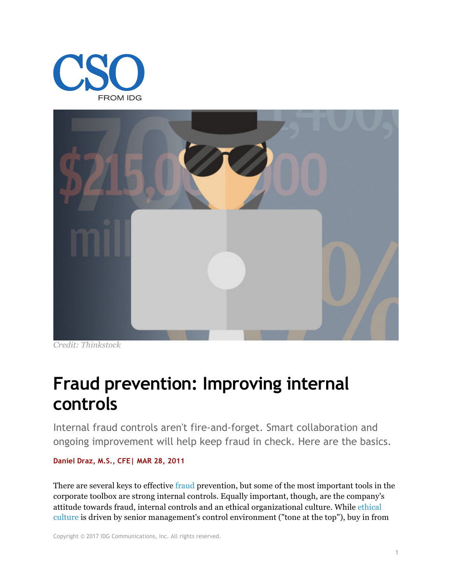



*Credit: Thinkstock*

# **Fraud prevention: Improving internal controls**

Internal fraud controls aren't fire-and-forget. Smart collaboration and ongoing improvement will help keep fraud in check. Here are the basics.

#### **Daniel Draz, M.S., CFE| MAR 28, 2011**

There are several keys to effective fraud prevention, but some of the most important tools in the corporate toolbox are strong internal controls. Equally important, though, are the company's attitude towards fraud, internal controls and an ethical organizational culture. While ethical culture is driven by senior management's control environment ("tone at the top"), buy in from

Copyright © 2017 IDG Communications, Inc. All rights reserved.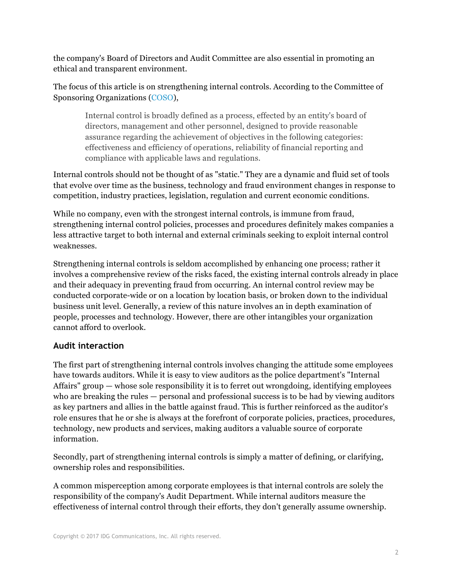the company's Board of Directors and Audit Committee are also essential in promoting an ethical and transparent environment.

The focus of this article is on strengthening internal controls. According to the Committee of Sponsoring Organizations (COSO),

Internal control is broadly defined as a process, effected by an entity's board of directors, management and other personnel, designed to provide reasonable assurance regarding the achievement of objectives in the following categories: effectiveness and efficiency of operations, reliability of financial reporting and compliance with applicable laws and regulations.

Internal controls should not be thought of as "static." They are a dynamic and fluid set of tools that evolve over time as the business, technology and fraud environment changes in response to competition, industry practices, legislation, regulation and current economic conditions.

While no company, even with the strongest internal controls, is immune from fraud, strengthening internal control policies, processes and procedures definitely makes companies a less attractive target to both internal and external criminals seeking to exploit internal control weaknesses.

Strengthening internal controls is seldom accomplished by enhancing one process; rather it involves a comprehensive review of the risks faced, the existing internal controls already in place and their adequacy in preventing fraud from occurring. An internal control review may be conducted corporate-wide or on a location by location basis, or broken down to the individual business unit level. Generally, a review of this nature involves an in depth examination of people, processes and technology. However, there are other intangibles your organization cannot afford to overlook.

# **Audit interaction**

The first part of strengthening internal controls involves changing the attitude some employees have towards auditors. While it is easy to view auditors as the police department's "Internal Affairs" group — whose sole responsibility it is to ferret out wrongdoing, identifying employees who are breaking the rules — personal and professional success is to be had by viewing auditors as key partners and allies in the battle against fraud. This is further reinforced as the auditor's role ensures that he or she is always at the forefront of corporate policies, practices, procedures, technology, new products and services, making auditors a valuable source of corporate information.

Secondly, part of strengthening internal controls is simply a matter of defining, or clarifying, ownership roles and responsibilities.

A common misperception among corporate employees is that internal controls are solely the responsibility of the company's Audit Department. While internal auditors measure the effectiveness of internal control through their efforts, they don't generally assume ownership.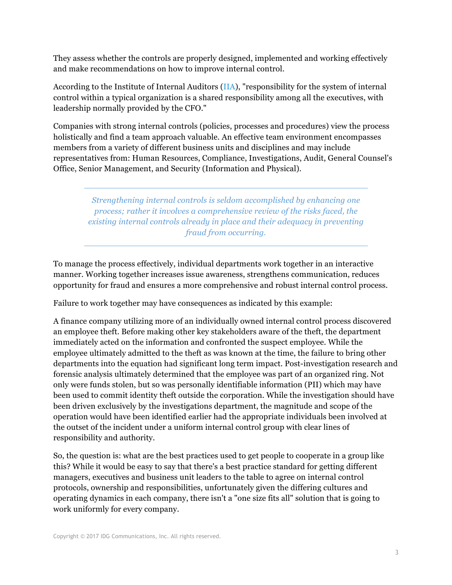They assess whether the controls are properly designed, implemented and working effectively and make recommendations on how to improve internal control.

According to the Institute of Internal Auditors (IIA), "responsibility for the system of internal control within a typical organization is a shared responsibility among all the executives, with leadership normally provided by the CFO."

Companies with strong internal controls (policies, processes and procedures) view the process holistically and find a team approach valuable. An effective team environment encompasses members from a variety of different business units and disciplines and may include representatives from: Human Resources, Compliance, Investigations, Audit, General Counsel's Office, Senior Management, and Security (Information and Physical).

> *Strengthening internal controls is seldom accomplished by enhancing one process; rather it involves a comprehensive review of the risks faced, the existing internal controls already in place and their adequacy in preventing fraud from occurring.*

To manage the process effectively, individual departments work together in an interactive manner. Working together increases issue awareness, strengthens communication, reduces opportunity for fraud and ensures a more comprehensive and robust internal control process.

Failure to work together may have consequences as indicated by this example:

A finance company utilizing more of an individually owned internal control process discovered an employee theft. Before making other key stakeholders aware of the theft, the department immediately acted on the information and confronted the suspect employee. While the employee ultimately admitted to the theft as was known at the time, the failure to bring other departments into the equation had significant long term impact. Post-investigation research and forensic analysis ultimately determined that the employee was part of an organized ring. Not only were funds stolen, but so was personally identifiable information (PII) which may have been used to commit identity theft outside the corporation. While the investigation should have been driven exclusively by the investigations department, the magnitude and scope of the operation would have been identified earlier had the appropriate individuals been involved at the outset of the incident under a uniform internal control group with clear lines of responsibility and authority.

So, the question is: what are the best practices used to get people to cooperate in a group like this? While it would be easy to say that there's a best practice standard for getting different managers, executives and business unit leaders to the table to agree on internal control protocols, ownership and responsibilities, unfortunately given the differing cultures and operating dynamics in each company, there isn't a "one size fits all" solution that is going to work uniformly for every company.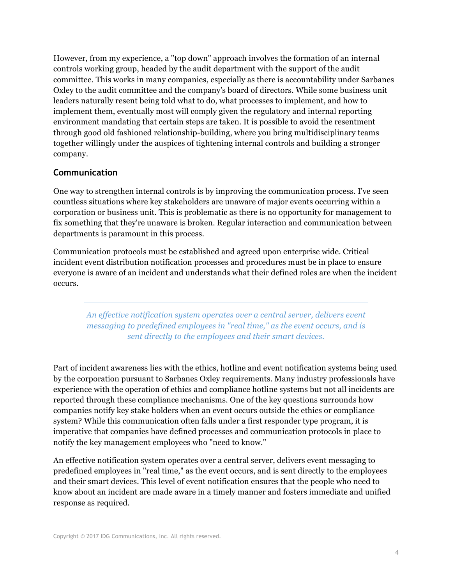However, from my experience, a "top down" approach involves the formation of an internal controls working group, headed by the audit department with the support of the audit committee. This works in many companies, especially as there is accountability under Sarbanes Oxley to the audit committee and the company's board of directors. While some business unit leaders naturally resent being told what to do, what processes to implement, and how to implement them, eventually most will comply given the regulatory and internal reporting environment mandating that certain steps are taken. It is possible to avoid the resentment through good old fashioned relationship-building, where you bring multidisciplinary teams together willingly under the auspices of tightening internal controls and building a stronger company.

#### **Communication**

One way to strengthen internal controls is by improving the communication process. I've seen countless situations where key stakeholders are unaware of major events occurring within a corporation or business unit. This is problematic as there is no opportunity for management to fix something that they're unaware is broken. Regular interaction and communication between departments is paramount in this process.

Communication protocols must be established and agreed upon enterprise wide. Critical incident event distribution notification processes and procedures must be in place to ensure everyone is aware of an incident and understands what their defined roles are when the incident occurs.

*An effective notification system operates over a central server, delivers event messaging to predefined employees in "real time," as the event occurs, and is sent directly to the employees and their smart devices.*

Part of incident awareness lies with the ethics, hotline and event notification systems being used by the corporation pursuant to Sarbanes Oxley requirements. Many industry professionals have experience with the operation of ethics and compliance hotline systems but not all incidents are reported through these compliance mechanisms. One of the key questions surrounds how companies notify key stake holders when an event occurs outside the ethics or compliance system? While this communication often falls under a first responder type program, it is imperative that companies have defined processes and communication protocols in place to notify the key management employees who "need to know."

An effective notification system operates over a central server, delivers event messaging to predefined employees in "real time," as the event occurs, and is sent directly to the employees and their smart devices. This level of event notification ensures that the people who need to know about an incident are made aware in a timely manner and fosters immediate and unified response as required.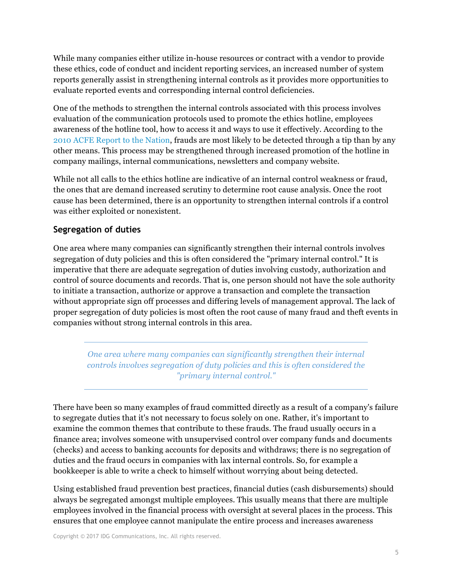While many companies either utilize in-house resources or contract with a vendor to provide these ethics, code of conduct and incident reporting services, an increased number of system reports generally assist in strengthening internal controls as it provides more opportunities to evaluate reported events and corresponding internal control deficiencies.

One of the methods to strengthen the internal controls associated with this process involves evaluation of the communication protocols used to promote the ethics hotline, employees awareness of the hotline tool, how to access it and ways to use it effectively. According to the 2010 ACFE Report to the Nation, frauds are most likely to be detected through a tip than by any other means. This process may be strengthened through increased promotion of the hotline in company mailings, internal communications, newsletters and company website.

While not all calls to the ethics hotline are indicative of an internal control weakness or fraud, the ones that are demand increased scrutiny to determine root cause analysis. Once the root cause has been determined, there is an opportunity to strengthen internal controls if a control was either exploited or nonexistent.

### **Segregation of duties**

One area where many companies can significantly strengthen their internal controls involves segregation of duty policies and this is often considered the "primary internal control." It is imperative that there are adequate segregation of duties involving custody, authorization and control of source documents and records. That is, one person should not have the sole authority to initiate a transaction, authorize or approve a transaction and complete the transaction without appropriate sign off processes and differing levels of management approval. The lack of proper segregation of duty policies is most often the root cause of many fraud and theft events in companies without strong internal controls in this area.

*One area where many companies can significantly strengthen their internal controls involves segregation of duty policies and this is often considered the "primary internal control."*

There have been so many examples of fraud committed directly as a result of a company's failure to segregate duties that it's not necessary to focus solely on one. Rather, it's important to examine the common themes that contribute to these frauds. The fraud usually occurs in a finance area; involves someone with unsupervised control over company funds and documents (checks) and access to banking accounts for deposits and withdraws; there is no segregation of duties and the fraud occurs in companies with lax internal controls. So, for example a bookkeeper is able to write a check to himself without worrying about being detected.

Using established fraud prevention best practices, financial duties (cash disbursements) should always be segregated amongst multiple employees. This usually means that there are multiple employees involved in the financial process with oversight at several places in the process. This ensures that one employee cannot manipulate the entire process and increases awareness

Copyright © 2017 IDG Communications, Inc. All rights reserved.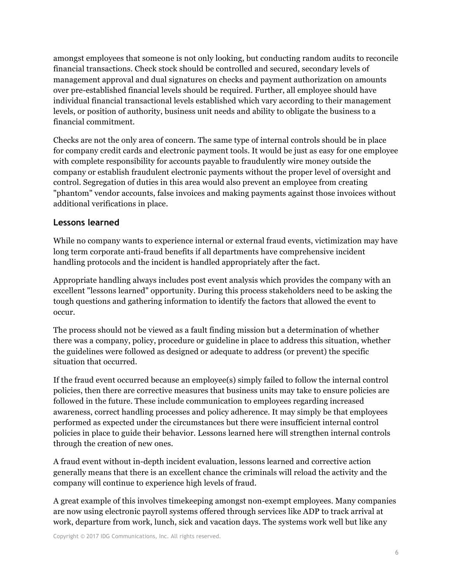amongst employees that someone is not only looking, but conducting random audits to reconcile financial transactions. Check stock should be controlled and secured, secondary levels of management approval and dual signatures on checks and payment authorization on amounts over pre-established financial levels should be required. Further, all employee should have individual financial transactional levels established which vary according to their management levels, or position of authority, business unit needs and ability to obligate the business to a financial commitment.

Checks are not the only area of concern. The same type of internal controls should be in place for company credit cards and electronic payment tools. It would be just as easy for one employee with complete responsibility for accounts payable to fraudulently wire money outside the company or establish fraudulent electronic payments without the proper level of oversight and control. Segregation of duties in this area would also prevent an employee from creating "phantom" vendor accounts, false invoices and making payments against those invoices without additional verifications in place.

### **Lessons learned**

While no company wants to experience internal or external fraud events, victimization may have long term corporate anti-fraud benefits if all departments have comprehensive incident handling protocols and the incident is handled appropriately after the fact.

Appropriate handling always includes post event analysis which provides the company with an excellent "lessons learned" opportunity. During this process stakeholders need to be asking the tough questions and gathering information to identify the factors that allowed the event to occur.

The process should not be viewed as a fault finding mission but a determination of whether there was a company, policy, procedure or guideline in place to address this situation, whether the guidelines were followed as designed or adequate to address (or prevent) the specific situation that occurred.

If the fraud event occurred because an employee(s) simply failed to follow the internal control policies, then there are corrective measures that business units may take to ensure policies are followed in the future. These include communication to employees regarding increased awareness, correct handling processes and policy adherence. It may simply be that employees performed as expected under the circumstances but there were insufficient internal control policies in place to guide their behavior. Lessons learned here will strengthen internal controls through the creation of new ones.

A fraud event without in-depth incident evaluation, lessons learned and corrective action generally means that there is an excellent chance the criminals will reload the activity and the company will continue to experience high levels of fraud.

A great example of this involves timekeeping amongst non-exempt employees. Many companies are now using electronic payroll systems offered through services like ADP to track arrival at work, departure from work, lunch, sick and vacation days. The systems work well but like any

Copyright © 2017 IDG Communications, Inc. All rights reserved.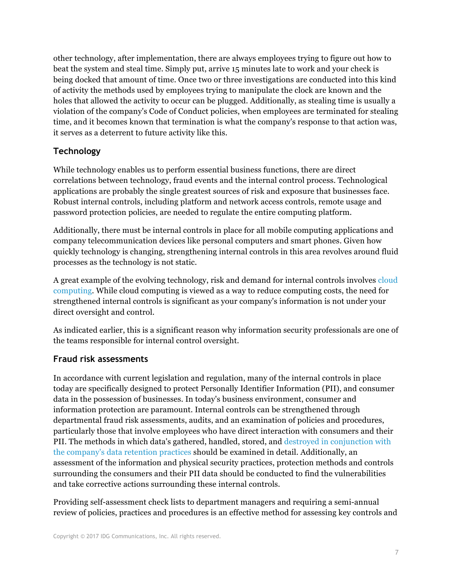other technology, after implementation, there are always employees trying to figure out how to beat the system and steal time. Simply put, arrive 15 minutes late to work and your check is being docked that amount of time. Once two or three investigations are conducted into this kind of activity the methods used by employees trying to manipulate the clock are known and the holes that allowed the activity to occur can be plugged. Additionally, as stealing time is usually a violation of the company's Code of Conduct policies, when employees are terminated for stealing time, and it becomes known that termination is what the company's response to that action was, it serves as a deterrent to future activity like this.

# **Technology**

While technology enables us to perform essential business functions, there are direct correlations between technology, fraud events and the internal control process. Technological applications are probably the single greatest sources of risk and exposure that businesses face. Robust internal controls, including platform and network access controls, remote usage and password protection policies, are needed to regulate the entire computing platform.

Additionally, there must be internal controls in place for all mobile computing applications and company telecommunication devices like personal computers and smart phones. Given how quickly technology is changing, strengthening internal controls in this area revolves around fluid processes as the technology is not static.

A great example of the evolving technology, risk and demand for internal controls involves cloud computing. While cloud computing is viewed as a way to reduce computing costs, the need for strengthened internal controls is significant as your company's information is not under your direct oversight and control.

As indicated earlier, this is a significant reason why information security professionals are one of the teams responsible for internal control oversight.

# **Fraud risk assessments**

In accordance with current legislation and regulation, many of the internal controls in place today are specifically designed to protect Personally Identifier Information (PII), and consumer data in the possession of businesses. In today's business environment, consumer and information protection are paramount. Internal controls can be strengthened through departmental fraud risk assessments, audits, and an examination of policies and procedures, particularly those that involve employees who have direct interaction with consumers and their PII. The methods in which data's gathered, handled, stored, and destroyed in conjunction with the company's data retention practices should be examined in detail. Additionally, an assessment of the information and physical security practices, protection methods and controls surrounding the consumers and their PII data should be conducted to find the vulnerabilities and take corrective actions surrounding these internal controls.

Providing self-assessment check lists to department managers and requiring a semi-annual review of policies, practices and procedures is an effective method for assessing key controls and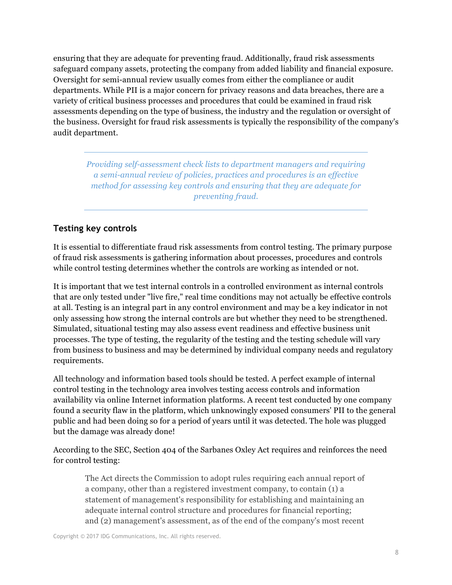ensuring that they are adequate for preventing fraud. Additionally, fraud risk assessments safeguard company assets, protecting the company from added liability and financial exposure. Oversight for semi-annual review usually comes from either the compliance or audit departments. While PII is a major concern for privacy reasons and data breaches, there are a variety of critical business processes and procedures that could be examined in fraud risk assessments depending on the type of business, the industry and the regulation or oversight of the business. Oversight for fraud risk assessments is typically the responsibility of the company's audit department.

*Providing self-assessment check lists to department managers and requiring a semi-annual review of policies, practices and procedures is an effective method for assessing key controls and ensuring that they are adequate for preventing fraud.*

# **Testing key controls**

It is essential to differentiate fraud risk assessments from control testing. The primary purpose of fraud risk assessments is gathering information about processes, procedures and controls while control testing determines whether the controls are working as intended or not.

It is important that we test internal controls in a controlled environment as internal controls that are only tested under "live fire," real time conditions may not actually be effective controls at all. Testing is an integral part in any control environment and may be a key indicator in not only assessing how strong the internal controls are but whether they need to be strengthened. Simulated, situational testing may also assess event readiness and effective business unit processes. The type of testing, the regularity of the testing and the testing schedule will vary from business to business and may be determined by individual company needs and regulatory requirements.

All technology and information based tools should be tested. A perfect example of internal control testing in the technology area involves testing access controls and information availability via online Internet information platforms. A recent test conducted by one company found a security flaw in the platform, which unknowingly exposed consumers' PII to the general public and had been doing so for a period of years until it was detected. The hole was plugged but the damage was already done!

According to the SEC, Section 404 of the Sarbanes Oxley Act requires and reinforces the need for control testing:

The Act directs the Commission to adopt rules requiring each annual report of a company, other than a registered investment company, to contain (1) a statement of management's responsibility for establishing and maintaining an adequate internal control structure and procedures for financial reporting; and (2) management's assessment, as of the end of the company's most recent